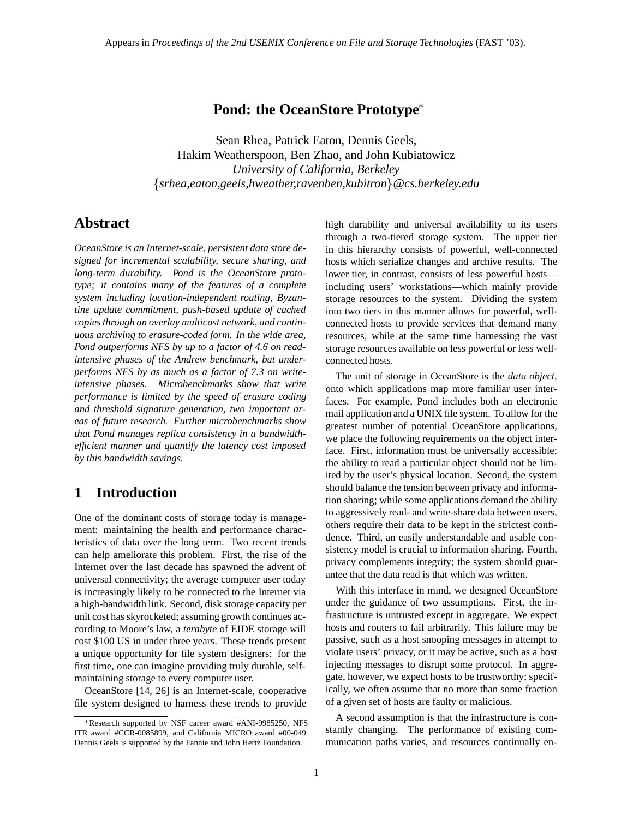### **Pond: the OceanStore Prototype**

Sean Rhea, Patrick Eaton, Dennis Geels, Hakim Weatherspoon, Ben Zhao, and John Kubiatowicz *University of California, Berkeley srhea,eaton,geels,hweather,ravenben,kubitron@cs.berkeley.edu*

# **Abstract**

*OceanStore is an Internet-scale, persistent data store designed for incremental scalability, secure sharing, and long-term durability. Pond is the OceanStore prototype; it contains many of the features of a complete system including location-independent routing, Byzantine update commitment, push-based update of cached copies through an overlay multicast network, and continuous archiving to erasure-coded form. In the wide area, Pond outperforms NFS by up to a factor of 4.6 on readintensive phases of the Andrew benchmark, but underperforms NFS by as much as a factor of 7.3 on writeintensive phases. Microbenchmarks show that write performance is limited by the speed of erasure coding and threshold signature generation, two important areas of future research. Further microbenchmarks show that Pond manages replica consistency in a bandwidthefficient manner and quantify the latency cost imposed by this bandwidth savings.*

# **1 Introduction**

One of the dominant costs of storage today is management: maintaining the health and performance characteristics of data over the long term. Two recent trends can help ameliorate this problem. First, the rise of the Internet over the last decade has spawned the advent of universal connectivity; the average computer user today is increasingly likely to be connected to the Internet via a high-bandwidth link. Second, disk storage capacity per unit cost has skyrocketed; assuming growth continues according to Moore's law, a *terabyte* of EIDE storage will cost \$100 US in under three years. These trends present a unique opportunity for file system designers: for the first time, one can imagine providing truly durable, selfmaintaining storage to every computer user.

OceanStore [14, 26] is an Internet-scale, cooperative file system designed to harness these trends to provide high durability and universal availability to its users through a two-tiered storage system. The upper tier in this hierarchy consists of powerful, well-connected hosts which serialize changes and archive results. The lower tier, in contrast, consists of less powerful hosts including users' workstations—which mainly provide storage resources to the system. Dividing the system into two tiers in this manner allows for powerful, wellconnected hosts to provide services that demand many resources, while at the same time harnessing the vast storage resources available on less powerful or less wellconnected hosts.

The unit of storage in OceanStore is the *data object*, onto which applications map more familiar user interfaces. For example, Pond includes both an electronic mail application and a UNIX file system. To allow for the greatest number of potential OceanStore applications, we place the following requirements on the object interface. First, information must be universally accessible; the ability to read a particular object should not be limited by the user's physical location. Second, the system should balance the tension between privacy and information sharing; while some applications demand the ability to aggressively read- and write-share data between users, others require their data to be kept in the strictest confidence. Third, an easily understandable and usable consistency model is crucial to information sharing. Fourth, privacy complements integrity; the system should guarantee that the data read is that which was written.

With this interface in mind, we designed OceanStore under the guidance of two assumptions. First, the infrastructure is untrusted except in aggregate. We expect hosts and routers to fail arbitrarily. This failure may be passive, such as a host snooping messages in attempt to violate users' privacy, or it may be active, such as a host injecting messages to disrupt some protocol. In aggregate, however, we expect hosts to be trustworthy; specifically, we often assume that no more than some fraction of a given set of hosts are faulty or malicious.

A second assumption is that the infrastructure is constantly changing. The performance of existing communication paths varies, and resources continually en-

Research supported by NSF career award #ANI-9985250, NFS ITR award #CCR-0085899, and California MICRO award #00-049. Dennis Geels is supported by the Fannie and John Hertz Foundation.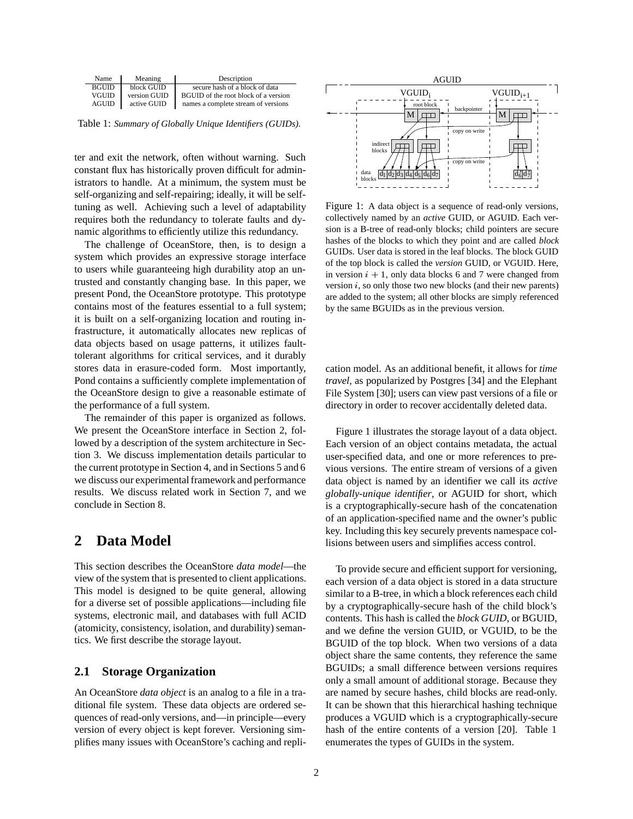| Name         | Meaning      | Description                          |
|--------------|--------------|--------------------------------------|
| <b>BGUID</b> | block GUID   | secure hash of a block of data       |
| VGUID        | version GUID | BGUID of the root block of a version |
| <b>AGUID</b> | active GUID  | names a complete stream of versions  |

Table 1: *Summary of Globally Unique Identifiers (GUIDs).*

ter and exit the network, often without warning. Such constant flux has historically proven difficult for administrators to handle. At a minimum, the system must be self-organizing and self-repairing; ideally, it will be selftuning as well. Achieving such a level of adaptability requires both the redundancy to tolerate faults and dynamic algorithms to efficiently utilize this redundancy.

The challenge of OceanStore, then, is to design a system which provides an expressive storage interface to users while guaranteeing high durability atop an untrusted and constantly changing base. In this paper, we present Pond, the OceanStore prototype. This prototype contains most of the features essential to a full system; it is built on a self-organizing location and routing infrastructure, it automatically allocates new replicas of data objects based on usage patterns, it utilizes faulttolerant algorithms for critical services, and it durably stores data in erasure-coded form. Most importantly, Pond contains a sufficiently complete implementation of the OceanStore design to give a reasonable estimate of the performance of a full system.

The remainder of this paper is organized as follows. We present the OceanStore interface in Section 2, followed by a description of the system architecture in Section 3. We discuss implementation details particular to the current prototype in Section 4, and in Sections 5 and 6 we discuss our experimental framework and performance results. We discuss related work in Section 7, and we conclude in Section 8.

### **2 Data Model**

This section describes the OceanStore *data model*—the view of the system that is presented to client applications. This model is designed to be quite general, allowing for a diverse set of possible applications—including file systems, electronic mail, and databases with full ACID (atomicity, consistency, isolation, and durability) semantics. We first describe the storage layout.

#### **2.1 Storage Organization**

An OceanStore *data object* is an analog to a file in a traditional file system. These data objects are ordered sequences of read-only versions, and—in principle—every version of every object is kept forever. Versioning simplifies many issues with OceanStore's caching and repli-



Figure 1: A data object is a sequence of read-only versions, collectively named by an *active* GUID, or AGUID. Each version is a B-tree of read-only blocks; child pointers are secure hashes of the blocks to which they point and are called *block* GUIDs. User data is stored in the leaf blocks. The block GUID of the top block is called the *version* GUID, or VGUID. Here, in version  $i + 1$ , only data blocks 6 and 7 were changed from version  $i$ , so only those two new blocks (and their new parents) are added to the system; all other blocks are simply referenced by the same BGUIDs as in the previous version.

cation model. As an additional benefit, it allows for *time travel*, as popularized by Postgres [34] and the Elephant File System [30]; users can view past versions of a file or directory in order to recover accidentally deleted data.

Figure 1 illustrates the storage layout of a data object. Each version of an object contains metadata, the actual user-specified data, and one or more references to previous versions. The entire stream of versions of a given data object is named by an identifier we call its *active globally-unique identifier*, or AGUID for short, which is a cryptographically-secure hash of the concatenation of an application-specified name and the owner's public key. Including this key securely prevents namespace collisions between users and simplifies access control.

To provide secure and efficient support for versioning, each version of a data object is stored in a data structure similar to a B-tree, in which a block references each child by a cryptographically-secure hash of the child block's contents. This hash is called the *block GUID*, or BGUID, and we define the version GUID, or VGUID, to be the BGUID of the top block. When two versions of a data object share the same contents, they reference the same BGUIDs; a small difference between versions requires only a small amount of additional storage. Because they are named by secure hashes, child blocks are read-only. It can be shown that this hierarchical hashing technique produces a VGUID which is a cryptographically-secure hash of the entire contents of a version [20]. Table 1 enumerates the types of GUIDs in the system.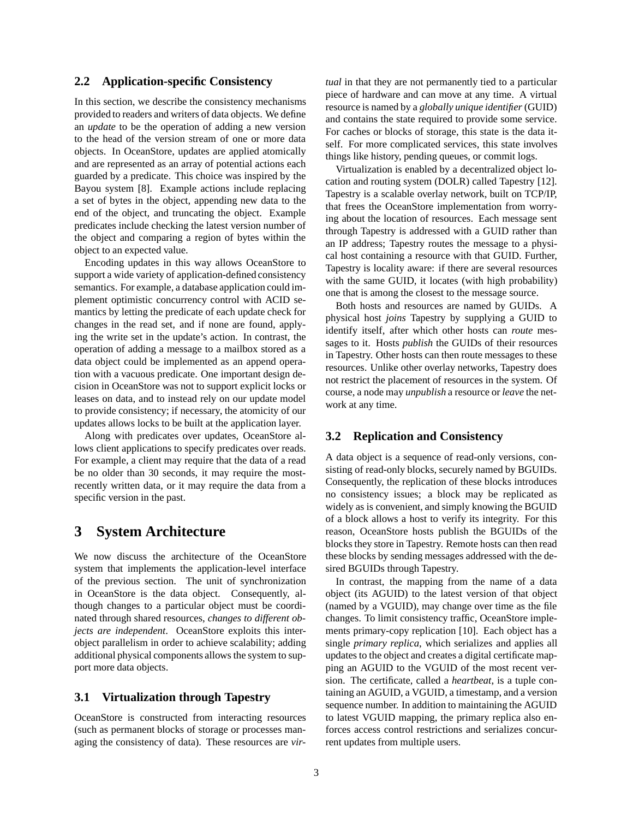#### **2.2 Application-specific Consistency**

In this section, we describe the consistency mechanisms provided to readers and writers of data objects. We define an *update* to be the operation of adding a new version to the head of the version stream of one or more data objects. In OceanStore, updates are applied atomically and are represented as an array of potential actions each guarded by a predicate. This choice was inspired by the Bayou system [8]. Example actions include replacing a set of bytes in the object, appending new data to the end of the object, and truncating the object. Example predicates include checking the latest version number of the object and comparing a region of bytes within the object to an expected value.

Encoding updates in this way allows OceanStore to support a wide variety of application-defined consistency semantics. For example, a database application could implement optimistic concurrency control with ACID semantics by letting the predicate of each update check for changes in the read set, and if none are found, applying the write set in the update's action. In contrast, the operation of adding a message to a mailbox stored as a data object could be implemented as an append operation with a vacuous predicate. One important design decision in OceanStore was not to support explicit locks or leases on data, and to instead rely on our update model to provide consistency; if necessary, the atomicity of our updates allows locks to be built at the application layer.

Along with predicates over updates, OceanStore allows client applications to specify predicates over reads. For example, a client may require that the data of a read be no older than 30 seconds, it may require the mostrecently written data, or it may require the data from a specific version in the past.

### **3 System Architecture**

We now discuss the architecture of the OceanStore system that implements the application-level interface of the previous section. The unit of synchronization in OceanStore is the data object. Consequently, although changes to a particular object must be coordinated through shared resources, *changes to different objects are independent*. OceanStore exploits this interobject parallelism in order to achieve scalability; adding additional physical components allows the system to support more data objects.

#### **3.1 Virtualization through Tapestry**

OceanStore is constructed from interacting resources (such as permanent blocks of storage or processes managing the consistency of data). These resources are *vir-* *tual* in that they are not permanently tied to a particular piece of hardware and can move at any time. A virtual resource is named by a *globally unique identifier* (GUID) and contains the state required to provide some service. For caches or blocks of storage, this state is the data itself. For more complicated services, this state involves things like history, pending queues, or commit logs.

Virtualization is enabled by a decentralized object location and routing system (DOLR) called Tapestry [12]. Tapestry is a scalable overlay network, built on TCP/IP, that frees the OceanStore implementation from worrying about the location of resources. Each message sent through Tapestry is addressed with a GUID rather than an IP address; Tapestry routes the message to a physical host containing a resource with that GUID. Further, Tapestry is locality aware: if there are several resources with the same GUID, it locates (with high probability) one that is among the closest to the message source.

Both hosts and resources are named by GUIDs. A physical host *joins* Tapestry by supplying a GUID to identify itself, after which other hosts can *route* messages to it. Hosts *publish* the GUIDs of their resources in Tapestry. Other hosts can then route messages to these resources. Unlike other overlay networks, Tapestry does not restrict the placement of resources in the system. Of course, a node may *unpublish* a resource or *leave* the network at any time.

#### **3.2 Replication and Consistency**

A data object is a sequence of read-only versions, consisting of read-only blocks, securely named by BGUIDs. Consequently, the replication of these blocks introduces no consistency issues; a block may be replicated as widely as is convenient, and simply knowing the BGUID of a block allows a host to verify its integrity. For this reason, OceanStore hosts publish the BGUIDs of the blocks they store in Tapestry. Remote hosts can then read these blocks by sending messages addressed with the desired BGUIDs through Tapestry.

In contrast, the mapping from the name of a data object (its AGUID) to the latest version of that object (named by a VGUID), may change over time as the file changes. To limit consistency traffic, OceanStore implements primary-copy replication [10]. Each object has a single *primary replica*, which serializes and applies all updates to the object and creates a digital certificate mapping an AGUID to the VGUID of the most recent version. The certificate, called a *heartbeat*, is a tuple containing an AGUID, a VGUID, a timestamp, and a version sequence number. In addition to maintaining the AGUID to latest VGUID mapping, the primary replica also enforces access control restrictions and serializes concurrent updates from multiple users.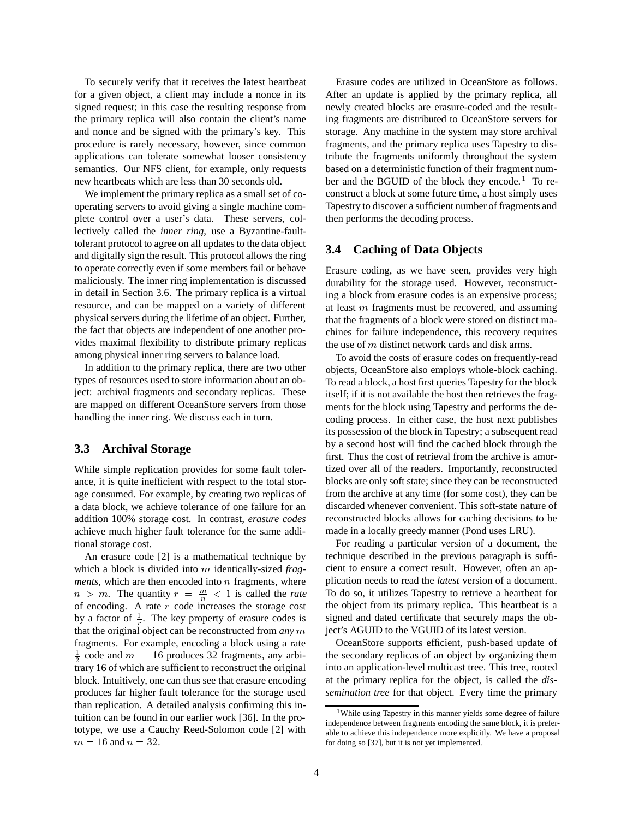To securely verify that it receives the latest heartbeat for a given object, a client may include a nonce in its signed request; in this case the resulting response from the primary replica will also contain the client's name and nonce and be signed with the primary's key. This procedure is rarely necessary, however, since common applications can tolerate somewhat looser consistency semantics. Our NFS client, for example, only requests new heartbeats which are less than 30 seconds old.

We implement the primary replica as a small set of cooperating servers to avoid giving a single machine complete control over a user's data. These servers, collectively called the *inner ring*, use a Byzantine-faulttolerant protocol to agree on all updates to the data object and digitally sign the result. This protocol allows the ring to operate correctly even if some members fail or behave maliciously. The inner ring implementation is discussed in detail in Section 3.6. The primary replica is a virtual resource, and can be mapped on a variety of different physical servers during the lifetime of an object. Further, the fact that objects are independent of one another provides maximal flexibility to distribute primary replicas among physical inner ring servers to balance load.

In addition to the primary replica, there are two other types of resources used to store information about an object: archival fragments and secondary replicas. These are mapped on different OceanStore servers from those handling the inner ring. We discuss each in turn.

### **3.3 Archival Storage**

While simple replication provides for some fault tolerance, it is quite inefficient with respect to the total storage consumed. For example, by creating two replicas of a data block, we achieve tolerance of one failure for an addition 100% storage cost. In contrast, *erasure codes* achieve much higher fault tolerance for the same additional storage cost.

An erasure code [2] is a mathematical technique by which a block is divided into m identically-sized *fragments*, which are then encoded into  $n$  fragments, where  $n > m$ . The quantity  $r = \frac{m}{n} < 1$  is called the *rate* of encoding. A rate  $r$  code increases the storage cost by a factor of  $\frac{1}{r}$ . The key property of erasure codes is that the original object can be reconstructed from  $any \, m$  ject's AGU fragments. For example, encoding a block using a rate  $\frac{1}{2}$  code and  $m = 16$  produces 32 fragments, any arbitrary 16 of which are sufficient to reconstruct the original block. Intuitively, one can thus see that erasure encoding produces far higher fault tolerance for the storage used than replication. A detailed analysis confirming this intuition can be found in our earlier work [36]. In the prototype, we use a Cauchy Reed-Solomon code [2] with  $m = 16$  and  $n = 32$ .

Erasure codes are utilized in OceanStore as follows. After an update is applied by the primary replica, all newly created blocks are erasure-coded and the resulting fragments are distributed to OceanStore servers for storage. Any machine in the system may store archival fragments, and the primary replica uses Tapestry to distribute the fragments uniformly throughout the system based on a deterministic function of their fragment number and the BGUID of the block they encode.<sup>1</sup> To reconstruct a block at some future time, a host simply uses Tapestry to discover a sufficient number of fragments and then performs the decoding process.

### **3.4 Caching of Data Objects**

Erasure coding, as we have seen, provides very high durability for the storage used. However, reconstructing a block from erasure codes is an expensive process; at least  $m$  fragments must be recovered, and assuming that the fragments of a block were stored on distinct machines for failure independence, this recovery requires the use of  $m$  distinct network cards and disk arms.

To avoid the costs of erasure codes on frequently-read objects, OceanStore also employs whole-block caching. To read a block, a host first queries Tapestry for the block itself; if it is not available the host then retrieves the fragments for the block using Tapestry and performs the decoding process. In either case, the host next publishes its possession of the block in Tapestry; a subsequent read by a second host will find the cached block through the first. Thus the cost of retrieval from the archive is amortized over all of the readers. Importantly, reconstructed blocks are only soft state; since they can be reconstructed from the archive at any time (for some cost), they can be discarded whenever convenient. This soft-state nature of reconstructed blocks allows for caching decisions to be made in a locally greedy manner (Pond uses LRU).

For reading a particular version of a document, the technique described in the previous paragraph is sufficient to ensure a correct result. However, often an application needs to read the *latest* version of a document. To do so, it utilizes Tapestry to retrieve a heartbeat for the object from its primary replica. This heartbeat is a signed and dated certificate that securely maps the object's AGUID to the VGUID of its latest version.

OceanStore supports efficient, push-based update of the secondary replicas of an object by organizing them into an application-level multicast tree. This tree, rooted at the primary replica for the object, is called the *dissemination tree* for that object. Every time the primary

<sup>&</sup>lt;sup>1</sup>While using Tapestry in this manner yields some degree of failure independence between fragments encoding the same block, it is preferable to achieve this independence more explicitly. We have a proposal for doing so [37], but it is not yet implemented.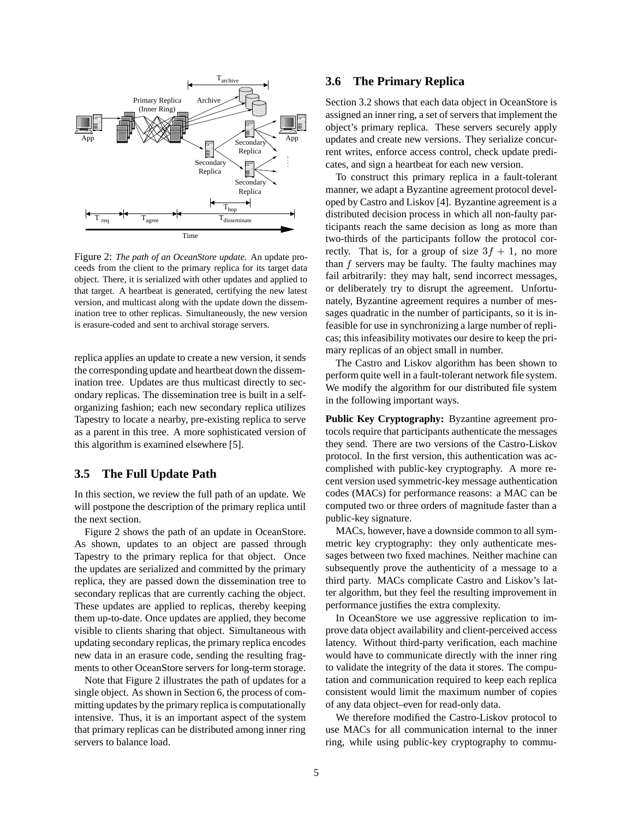

Figure 2: *The path of an OceanStore update.* An update proceeds from the client to the primary replica for its target data object. There, it is serialized with other updates and applied to that target. A heartbeat is generated, certifying the new latest version, and multicast along with the update down the dissemination tree to other replicas. Simultaneously, the new version is erasure-coded and sent to archival storage servers.

replica applies an update to create a new version, it sends the corresponding update and heartbeat down the dissemination tree. Updates are thus multicast directly to secondary replicas. The dissemination tree is built in a selforganizing fashion; each new secondary replica utilizes Tapestry to locate a nearby, pre-existing replica to serve as a parent in this tree. A more sophisticated version of this algorithm is examined elsewhere [5].

#### **3.5 The Full Update Path**

In this section, we review the full path of an update. We will postpone the description of the primary replica until the next section.

Figure 2 shows the path of an update in OceanStore. As shown, updates to an object are passed through Tapestry to the primary replica for that object. Once the updates are serialized and committed by the primary replica, they are passed down the dissemination tree to secondary replicas that are currently caching the object. These updates are applied to replicas, thereby keeping them up-to-date. Once updates are applied, they become visible to clients sharing that object. Simultaneous with updating secondary replicas, the primary replica encodes new data in an erasure code, sending the resulting fragments to other OceanStore servers for long-term storage.

Note that Figure 2 illustrates the path of updates for a single object. As shown in Section 6, the process of committing updates by the primary replica is computationally intensive. Thus, it is an important aspect of the system that primary replicas can be distributed among inner ring servers to balance load.

#### **3.6 The Primary Replica**

Section 3.2 shows that each data object in OceanStore is assigned an inner ring, a set of servers that implement the object's primary replica. These servers securely apply updates and create new versions. They serialize concurrent writes, enforce access control, check update predicates, and sign a heartbeat for each new version.

To construct this primary replica in a fault-tolerant manner, we adapt a Byzantine agreement protocol developed by Castro and Liskov [4]. Byzantine agreement is a distributed decision process in which all non-faulty participants reach the same decision as long as more than two-thirds of the participants follow the protocol correctly. That is, for a group of size  $3f + 1$ , no more than  $f$  servers may be faulty. The faulty machines may fail arbitrarily: they may halt, send incorrect messages, or deliberately try to disrupt the agreement. Unfortunately, Byzantine agreement requires a number of messages quadratic in the number of participants, so it is infeasible for use in synchronizing a large number of replicas; this infeasibility motivates our desire to keep the primary replicas of an object small in number.

The Castro and Liskov algorithm has been shown to perform quite well in a fault-tolerant network file system. We modify the algorithm for our distributed file system in the following important ways.

**Public Key Cryptography:** Byzantine agreement protocols require that participants authenticate the messages they send. There are two versions of the Castro-Liskov protocol. In the first version, this authentication was accomplished with public-key cryptography. A more recent version used symmetric-key message authentication codes (MACs) for performance reasons: a MAC can be computed two or three orders of magnitude faster than a public-key signature.

MACs, however, have a downside common to all symmetric key cryptography: they only authenticate messages between two fixed machines. Neither machine can subsequently prove the authenticity of a message to a third party. MACs complicate Castro and Liskov's latter algorithm, but they feel the resulting improvement in performance justifies the extra complexity.

In OceanStore we use aggressive replication to improve data object availability and client-perceived access latency. Without third-party verification, each machine would have to communicate directly with the inner ring to validate the integrity of the data it stores. The computation and communication required to keep each replica consistent would limit the maximum number of copies of any data object–even for read-only data.

We therefore modified the Castro-Liskov protocol to use MACs for all communication internal to the inner ring, while using public-key cryptography to commu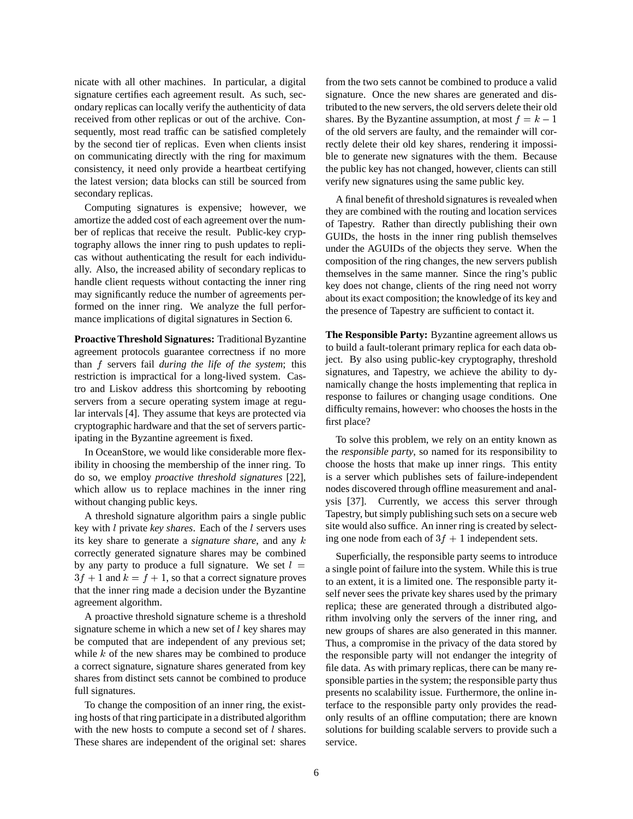nicate with all other machines. In particular, a digital signature certifies each agreement result. As such, secondary replicas can locally verify the authenticity of data received from other replicas or out of the archive. Consequently, most read traffic can be satisfied completely by the second tier of replicas. Even when clients insist on communicating directly with the ring for maximum consistency, it need only provide a heartbeat certifying the latest version; data blocks can still be sourced from secondary replicas.

Computing signatures is expensive; however, we amortize the added cost of each agreement over the number of replicas that receive the result. Public-key cryptography allows the inner ring to push updates to replicas without authenticating the result for each individually. Also, the increased ability of secondary replicas to handle client requests without contacting the inner ring may significantly reduce the number of agreements performed on the inner ring. We analyze the full performance implications of digital signatures in Section 6.

**Proactive Threshold Signatures:** Traditional Byzantine agreement protocols guarantee correctness if no more than f servers fail *during the life of the system*; this restriction is impractical for a long-lived system. Castro and Liskov address this shortcoming by rebooting servers from a secure operating system image at regular intervals [4]. They assume that keys are protected via cryptographic hardware and that the set of servers participating in the Byzantine agreement is fixed.

In OceanStore, we would like considerable more flexibility in choosing the membership of the inner ring. To do so, we employ *proactive threshold signatures* [22], which allow us to replace machines in the inner ring without changing public keys.

A threshold signature algorithm pairs a single public key with *l* private *key shares*. Each of the *l* servers uses its key share to generate a *signature share*, and any correctly generated signature shares may be combined by any party to produce a full signature. We set  $l =$  $3f + 1$  and  $k = f + 1$ , so that a correct signature proves that the inner ring made a decision under the Byzantine agreement algorithm.

A proactive threshold signature scheme is a threshold signature scheme in which a new set of  $l$  key shares may be computed that are independent of any previous set; while  $k$  of the new shares may be combined to produce a correct signature, signature shares generated from key shares from distinct sets cannot be combined to produce full signatures.

To change the composition of an inner ring, the existing hosts of that ring participate in a distributed algorithm with the new hosts to compute a second set of  $l$  shares. These shares are independent of the original set: shares

from the two sets cannot be combined to produce a valid signature. Once the new shares are generated and distributed to the new servers, the old servers delete their old shares. By the Byzantine assumption, at most  $f = k - 1$ of the old servers are faulty, and the remainder will correctly delete their old key shares, rendering it impossible to generate new signatures with the them. Because the public key has not changed, however, clients can still verify new signatures using the same public key.

A final benefit of threshold signatures is revealed when they are combined with the routing and location services of Tapestry. Rather than directly publishing their own GUIDs, the hosts in the inner ring publish themselves under the AGUIDs of the objects they serve. When the composition of the ring changes, the new servers publish themselves in the same manner. Since the ring's public key does not change, clients of the ring need not worry about its exact composition; the knowledge of its key and the presence of Tapestry are sufficient to contact it.

**The Responsible Party:** Byzantine agreement allows us to build a fault-tolerant primary replica for each data object. By also using public-key cryptography, threshold signatures, and Tapestry, we achieve the ability to dynamically change the hosts implementing that replica in response to failures or changing usage conditions. One difficulty remains, however: who chooses the hosts in the first place?

To solve this problem, we rely on an entity known as the *responsible party*, so named for its responsibility to choose the hosts that make up inner rings. This entity is a server which publishes sets of failure-independent nodes discovered through offline measurement and analysis [37]. Currently, we access this server through Tapestry, but simply publishing such sets on a secure web site would also suffice. An inner ring is created by selecting one node from each of  $3f + 1$  independent sets.

Superficially, the responsible party seems to introduce a single point of failure into the system. While this is true to an extent, it is a limited one. The responsible party itself never sees the private key shares used by the primary replica; these are generated through a distributed algorithm involving only the servers of the inner ring, and new groups of shares are also generated in this manner. Thus, a compromise in the privacy of the data stored by the responsible party will not endanger the integrity of file data. As with primary replicas, there can be many responsible parties in the system; the responsible party thus presents no scalability issue. Furthermore, the online interface to the responsible party only provides the readonly results of an offline computation; there are known solutions for building scalable servers to provide such a service.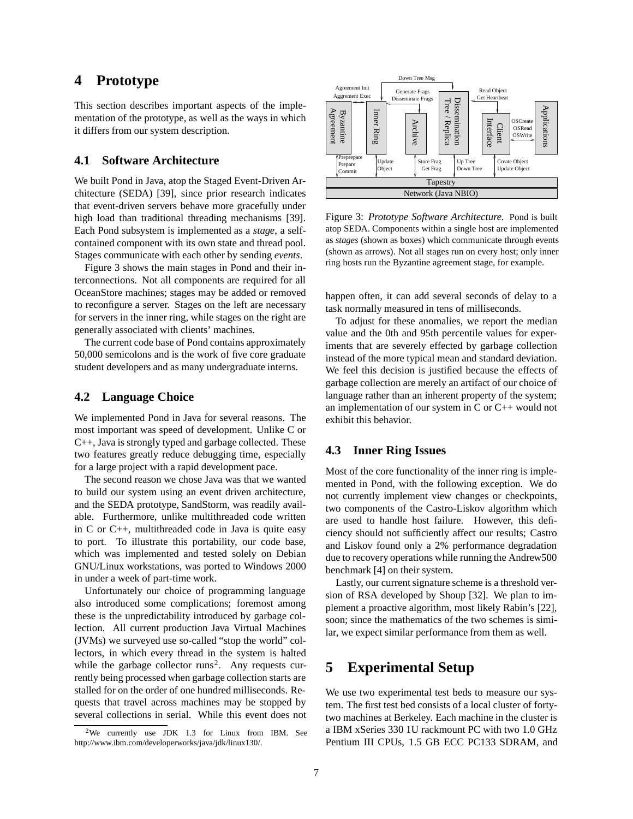## **4 Prototype**

This section describes important aspects of the implementation of the prototype, as well as the ways in which it differs from our system description.

#### **4.1 Software Architecture**

We built Pond in Java, atop the Staged Event-Driven Architecture (SEDA) [39], since prior research indicates that event-driven servers behave more gracefully under high load than traditional threading mechanisms [39]. Each Pond subsystem is implemented as a *stage*, a selfcontained component with its own state and thread pool. Stages communicate with each other by sending *events*.

Figure 3 shows the main stages in Pond and their interconnections. Not all components are required for all OceanStore machines; stages may be added or removed to reconfigure a server. Stages on the left are necessary for servers in the inner ring, while stages on the right are generally associated with clients' machines.

The current code base of Pond contains approximately 50,000 semicolons and is the work of five core graduate student developers and as many undergraduate interns.

#### **4.2 Language Choice**

We implemented Pond in Java for several reasons. The most important was speed of development. Unlike C or C++, Java is strongly typed and garbage collected. These two features greatly reduce debugging time, especially for a large project with a rapid development pace.

The second reason we chose Java was that we wanted to build our system using an event driven architecture, and the SEDA prototype, SandStorm, was readily available. Furthermore, unlike multithreaded code written in C or C++, multithreaded code in Java is quite easy to port. To illustrate this portability, our code base, which was implemented and tested solely on Debian GNU/Linux workstations, was ported to Windows 2000 in under a week of part-time work.

Unfortunately our choice of programming language also introduced some complications; foremost among these is the unpredictability introduced by garbage collection. All current production Java Virtual Machines (JVMs) we surveyed use so-called "stop the world" collectors, in which every thread in the system is halted while the garbage collector runs<sup>2</sup>. Any requests currently being processed when garbage collection starts are stalled for on the order of one hundred milliseconds. Requests that travel across machines may be stopped by several collections in serial. While this event does not



Figure 3: *Prototype Software Architecture.* Pond is built atop SEDA. Components within a single host are implemented as *stages* (shown as boxes) which communicate through events (shown as arrows). Not all stages run on every host; only inner ring hosts run the Byzantine agreement stage, for example.

happen often, it can add several seconds of delay to a task normally measured in tens of milliseconds.

To adjust for these anomalies, we report the median value and the 0th and 95th percentile values for experiments that are severely effected by garbage collection instead of the more typical mean and standard deviation. We feel this decision is justified because the effects of garbage collection are merely an artifact of our choice of language rather than an inherent property of the system; an implementation of our system in C or C++ would not exhibit this behavior.

#### **4.3 Inner Ring Issues**

Most of the core functionality of the inner ring is implemented in Pond, with the following exception. We do not currently implement view changes or checkpoints, two components of the Castro-Liskov algorithm which are used to handle host failure. However, this deficiency should not sufficiently affect our results; Castro and Liskov found only a 2% performance degradation due to recovery operations while running the Andrew500 benchmark [4] on their system.

Lastly, our current signature scheme is a threshold version of RSA developed by Shoup [32]. We plan to implement a proactive algorithm, most likely Rabin's [22], soon; since the mathematics of the two schemes is similar, we expect similar performance from them as well.

# **5 Experimental Setup**

We use two experimental test beds to measure our system. The first test bed consists of a local cluster of fortytwo machines at Berkeley. Each machine in the cluster is a IBM xSeries 330 1U rackmount PC with two 1.0 GHz Pentium III CPUs, 1.5 GB ECC PC133 SDRAM, and

<sup>2</sup>We currently use JDK 1.3 for Linux from IBM. See http://www.ibm.com/developerworks/java/jdk/linux130/.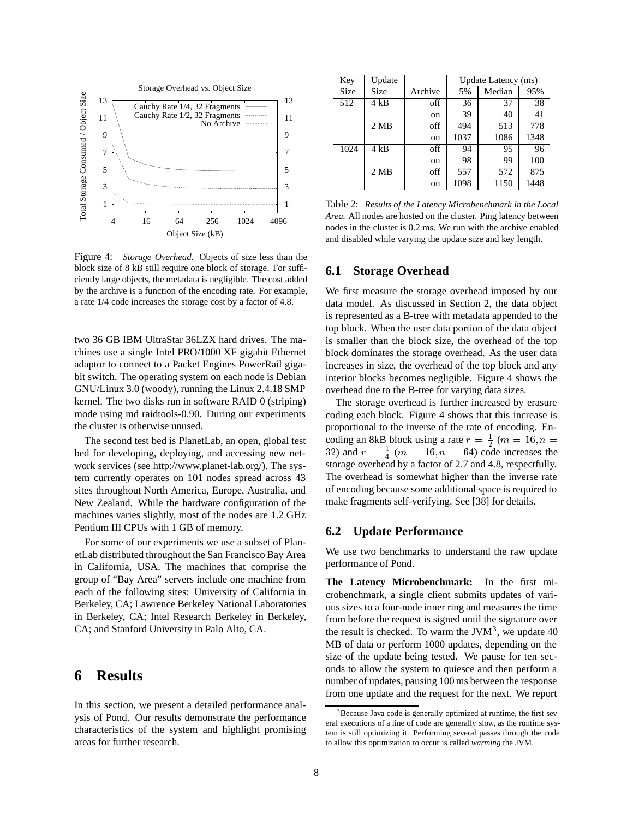

Figure 4: *Storage Overhead.* Objects of size less than the block size of 8 kB still require one block of storage. For sufficiently large objects, the metadata is negligible. The cost added by the archive is a function of the encoding rate. For example, a rate 1/4 code increases the storage cost by a factor of 4.8.

two 36 GB IBM UltraStar 36LZX hard drives. The machines use a single Intel PRO/1000 XF gigabit Ethernet adaptor to connect to a Packet Engines PowerRail gigabit switch. The operating system on each node is Debian GNU/Linux 3.0 (woody), running the Linux 2.4.18 SMP kernel. The two disks run in software RAID 0 (striping) mode using md raidtools-0.90. During our experiments the cluster is otherwise unused.

The second test bed is PlanetLab, an open, global test bed for developing, deploying, and accessing new network services (see http://www.planet-lab.org/). The system currently operates on 101 nodes spread across 43 sites throughout North America, Europe, Australia, and New Zealand. While the hardware configuration of the machines varies slightly, most of the nodes are 1.2 GHz Pentium III CPUs with 1 GB of memory.

For some of our experiments we use a subset of PlanetLab distributed throughout the San Francisco Bay Area in California, USA. The machines that comprise the group of "Bay Area" servers include one machine from each of the following sites: University of California in Berkeley, CA; Lawrence Berkeley National Laboratories in Berkeley, CA; Intel Research Berkeley in Berkeley, CA; and Stanford University in Palo Alto, CA.

## **6 Results**

In this section, we present a detailed performance analysis of Pond. Our results demonstrate the performance characteristics of the system and highlight promising areas for further research.

| Key  | Update            |         | Update Latency (ms) |        |      |  |  |
|------|-------------------|---------|---------------------|--------|------|--|--|
| Size | <b>Size</b>       | Archive | 5%                  | Median | 95%  |  |  |
| 512  | 4kB               | off     | 36                  | 37     | 38   |  |  |
|      |                   | on      | 39                  | 40     | 41   |  |  |
|      | $2 \overline{MB}$ | off     | 494                 | 513    | 778  |  |  |
|      |                   | on      | 1037                | 1086   | 1348 |  |  |
| 1024 | $4$ kB            | off     | 94                  | 95     | 96   |  |  |
|      |                   | on      | 98                  | 99     | 100  |  |  |
|      | $2 \overline{MB}$ | off     | 557                 | 572    | 875  |  |  |
|      |                   | on      | 1098                | 1150   | 1448 |  |  |

Table 2: *Results of the Latency Microbenchmark in the Local Area.* All nodes are hosted on the cluster. Ping latency between nodes in the cluster is 0.2 ms. We run with the archive enabled and disabled while varying the update size and key length.

#### **6.1 Storage Overhead**

We first measure the storage overhead imposed by our data model. As discussed in Section 2, the data object is represented as a B-tree with metadata appended to the top block. When the user data portion of the data object is smaller than the block size, the overhead of the top block dominates the storage overhead. As the user data increases in size, the overhead of the top block and any interior blocks becomes negligible. Figure 4 shows the overhead due to the B-tree for varying data sizes.

The storage overhead is further increased by erasure coding each block. Figure 4 shows that this increase is proportional to the inverse of the rate of encoding. Encoding an 8kB block using a rate  $r = \frac{1}{2}$  ( $m = 16$ ,  $n =$ 32) and  $r = \frac{1}{4}$  ( $m = 16, n = 64$ ) code increases the storage overhead by a factor of 2.7 and 4.8, respectfully. The overhead is somewhat higher than the inverse rate of encoding because some additional space is required to make fragments self-verifying. See [38] for details.

#### **6.2 Update Performance**

We use two benchmarks to understand the raw update performance of Pond.

**The Latency Microbenchmark:** In the first microbenchmark, a single client submits updates of various sizes to a four-node inner ring and measures the time from before the request is signed until the signature over the result is checked. To warm the JVM<sup>3</sup>, we update 40 MB of data or perform 1000 updates, depending on the size of the update being tested. We pause for ten seconds to allow the system to quiesce and then perform a number of updates, pausing 100 ms between the response from one update and the request for the next. We report

 $3B$  Because Java code is generally optimized at runtime, the first several executions of a line of code are generally slow, as the runtime system is still optimizing it. Performing several passes through the code to allow this optimization to occur is called *warming* the JVM.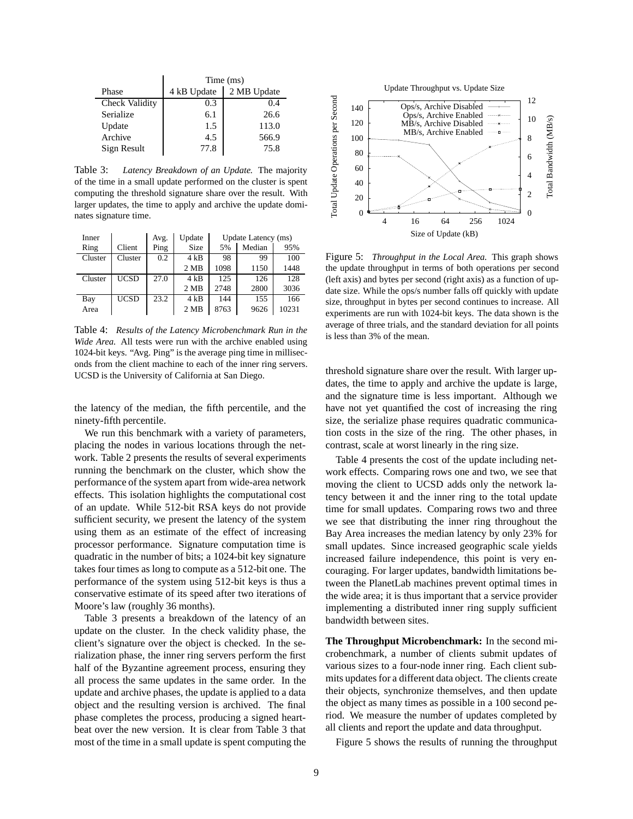|                | Time (ms)                  |       |  |  |
|----------------|----------------------------|-------|--|--|
| Phase          | 2 MB Update<br>4 kB Update |       |  |  |
| Check Validity | 0.3                        | 0.4   |  |  |
| Serialize      | 6.1                        | 26.6  |  |  |
| Update         | 1.5                        | 113.0 |  |  |
| Archive        | 4.5                        | 566.9 |  |  |
| Sign Result    | 77.8                       | 75.8  |  |  |

Table 3: *Latency Breakdown of an Update.* The majority of the time in a small update performed on the cluster is spent computing the threshold signature share over the result. With larger updates, the time to apply and archive the update dominates signature time.

| Inner   |             | Avg. | Update      | Update Latency (ms) |        |       |
|---------|-------------|------|-------------|---------------------|--------|-------|
| Ring    | Client      | Ping | <b>Size</b> | 5%                  | Median | 95%   |
| Cluster | Cluster     | 0.2  | $4$ kB      | 98                  | 99     | 100   |
|         |             |      | 2MB         | 1098                | 1150   | 1448  |
| Cluster | UCSD        | 27.0 | $4$ kB      | 125                 | 126    | 128   |
|         |             |      | 2MB         | 2748                | 2800   | 3036  |
| Bay     | <b>UCSD</b> | 23.2 | 4kB         | 144                 | 155    | 166   |
| Area    |             |      | 2MB         | 8763                | 9626   | 10231 |

Table 4: *Results of the Latency Microbenchmark Run in the Wide Area.* All tests were run with the archive enabled using 1024-bit keys. "Avg. Ping" is the average ping time in milliseconds from the client machine to each of the inner ring servers. UCSD is the University of California at San Diego.

the latency of the median, the fifth percentile, and the ninety-fifth percentile.

We run this benchmark with a variety of parameters, placing the nodes in various locations through the network. Table 2 presents the results of several experiments running the benchmark on the cluster, which show the performance of the system apart from wide-area network effects. This isolation highlights the computational cost of an update. While 512-bit RSA keys do not provide sufficient security, we present the latency of the system using them as an estimate of the effect of increasing processor performance. Signature computation time is quadratic in the number of bits; a 1024-bit key signature takes four times as long to compute as a 512-bit one. The performance of the system using 512-bit keys is thus a conservative estimate of its speed after two iterations of Moore's law (roughly 36 months).

Table 3 presents a breakdown of the latency of an update on the cluster. In the check validity phase, the client's signature over the object is checked. In the serialization phase, the inner ring servers perform the first half of the Byzantine agreement process, ensuring they all process the same updates in the same order. In the update and archive phases, the update is applied to a data object and the resulting version is archived. The final phase completes the process, producing a signed heartbeat over the new version. It is clear from Table 3 that most of the time in a small update is spent computing the



Figure 5: *Throughput in the Local Area.* This graph shows the update throughput in terms of both operations per second (left axis) and bytes per second (right axis) as a function of update size. While the ops/s number falls off quickly with update size, throughput in bytes per second continues to increase. All experiments are run with 1024-bit keys. The data shown is the average of three trials, and the standard deviation for all points is less than 3% of the mean.

threshold signature share over the result. With larger updates, the time to apply and archive the update is large, and the signature time is less important. Although we have not yet quantified the cost of increasing the ring size, the serialize phase requires quadratic communication costs in the size of the ring. The other phases, in contrast, scale at worst linearly in the ring size.

Table 4 presents the cost of the update including network effects. Comparing rows one and two, we see that moving the client to UCSD adds only the network latency between it and the inner ring to the total update time for small updates. Comparing rows two and three we see that distributing the inner ring throughout the Bay Area increases the median latency by only 23% for small updates. Since increased geographic scale yields increased failure independence, this point is very encouraging. For larger updates, bandwidth limitations between the PlanetLab machines prevent optimal times in the wide area; it is thus important that a service provider implementing a distributed inner ring supply sufficient bandwidth between sites.

**The Throughput Microbenchmark:** In the second microbenchmark, a number of clients submit updates of various sizes to a four-node inner ring. Each client submits updates for a different data object. The clients create their objects, synchronize themselves, and then update the object as many times as possible in a 100 second period. We measure the number of updates completed by all clients and report the update and data throughput.

Figure 5 shows the results of running the throughput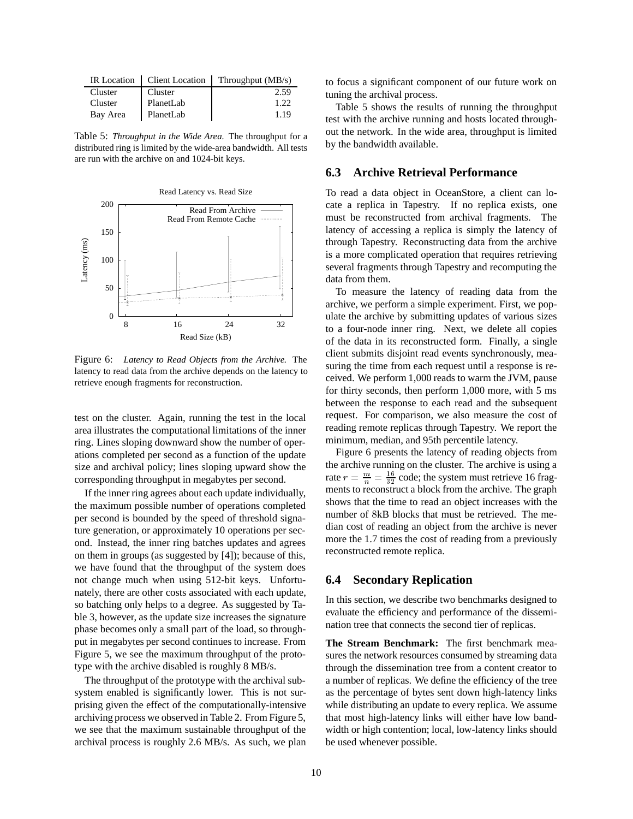|          | IR Location   Client Location | Throughput (MB/s) |
|----------|-------------------------------|-------------------|
| Cluster  | Cluster                       | 2.59              |
| Cluster  | PlanetLab                     | 122               |
| Bay Area | PlanetLab                     | 1.19              |

Table 5: *Throughput in the Wide Area.* The throughput for a distributed ring is limited by the wide-area bandwidth. All tests are run with the archive on and 1024-bit keys.



Figure 6: *Latency to Read Objects from the Archive.* The latency to read data from the archive depends on the latency to retrieve enough fragments for reconstruction.

test on the cluster. Again, running the test in the local area illustrates the computational limitations of the inner ring. Lines sloping downward show the number of operations completed per second as a function of the update size and archival policy; lines sloping upward show the corresponding throughput in megabytes per second.

If the inner ring agrees about each update individually, the maximum possible number of operations completed per second is bounded by the speed of threshold signature generation, or approximately 10 operations per second. Instead, the inner ring batches updates and agrees on them in groups (as suggested by [4]); because of this, we have found that the throughput of the system does not change much when using 512-bit keys. Unfortunately, there are other costs associated with each update, so batching only helps to a degree. As suggested by Table 3, however, as the update size increases the signature phase becomes only a small part of the load, so throughput in megabytes per second continues to increase. From Figure 5, we see the maximum throughput of the prototype with the archive disabled is roughly 8 MB/s.

The throughput of the prototype with the archival subsystem enabled is significantly lower. This is not surprising given the effect of the computationally-intensive archiving process we observed in Table 2. From Figure 5, we see that the maximum sustainable throughput of the archival process is roughly 2.6 MB/s. As such, we plan

to focus a significant component of our future work on tuning the archival process.

Table 5 shows the results of running the throughput test with the archive running and hosts located throughout the network. In the wide area, throughput is limited by the bandwidth available.

#### **6.3 Archive Retrieval Performance**

To read a data object in OceanStore, a client can locate a replica in Tapestry. If no replica exists, one must be reconstructed from archival fragments. The latency of accessing a replica is simply the latency of through Tapestry. Reconstructing data from the archive is a more complicated operation that requires retrieving several fragments through Tapestry and recomputing the data from them.

To measure the latency of reading data from the archive, we perform a simple experiment. First, we populate the archive by submitting updates of various sizes to a four-node inner ring. Next, we delete all copies of the data in its reconstructed form. Finally, a single client submits disjoint read events synchronously, measuring the time from each request until a response is received. We perform 1,000 reads to warm the JVM, pause for thirty seconds, then perform 1,000 more, with 5 ms between the response to each read and the subsequent request. For comparison, we also measure the cost of reading remote replicas through Tapestry. We report the minimum, median, and 95th percentile latency.

Figure 6 presents the latency of reading objects from the archive running on the cluster. The archive is using a rate  $r = \frac{m}{n} = \frac{16}{32}$  code; the system must retrieve 16 fragments to reconstruct a block from the archive. The graph shows that the time to read an object increases with the number of 8kB blocks that must be retrieved. The median cost of reading an object from the archive is never more the 1.7 times the cost of reading from a previously reconstructed remote replica.

#### **6.4 Secondary Replication**

In this section, we describe two benchmarks designed to evaluate the efficiency and performance of the dissemination tree that connects the second tier of replicas.

**The Stream Benchmark:** The first benchmark measures the network resources consumed by streaming data through the dissemination tree from a content creator to a number of replicas. We define the efficiency of the tree as the percentage of bytes sent down high-latency links while distributing an update to every replica. We assume that most high-latency links will either have low bandwidth or high contention; local, low-latency links should be used whenever possible.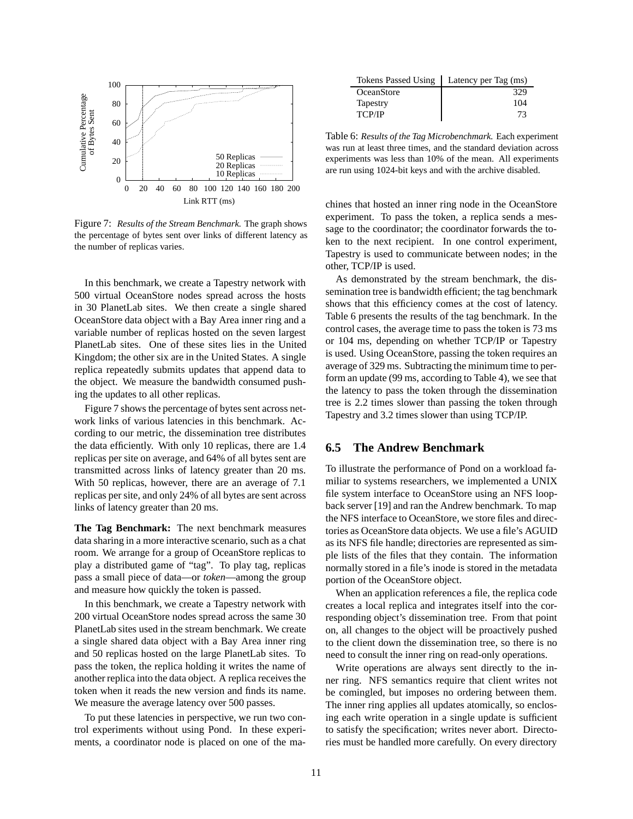

Figure 7: *Results of the Stream Benchmark.* The graph shows the percentage of bytes sent over links of different latency as the number of replicas varies.

In this benchmark, we create a Tapestry network with 500 virtual OceanStore nodes spread across the hosts in 30 PlanetLab sites. We then create a single shared OceanStore data object with a Bay Area inner ring and a variable number of replicas hosted on the seven largest PlanetLab sites. One of these sites lies in the United Kingdom; the other six are in the United States. A single replica repeatedly submits updates that append data to the object. We measure the bandwidth consumed pushing the updates to all other replicas.

Figure 7 shows the percentage of bytes sent across network links of various latencies in this benchmark. According to our metric, the dissemination tree distributes the data efficiently. With only 10 replicas, there are 1.4 replicas per site on average, and 64% of all bytes sent are transmitted across links of latency greater than 20 ms. With 50 replicas, however, there are an average of 7.1 replicas per site, and only 24% of all bytes are sent across links of latency greater than 20 ms.

**The Tag Benchmark:** The next benchmark measures data sharing in a more interactive scenario, such as a chat room. We arrange for a group of OceanStore replicas to play a distributed game of "tag". To play tag, replicas pass a small piece of data—or *token*—among the group and measure how quickly the token is passed.

In this benchmark, we create a Tapestry network with 200 virtual OceanStore nodes spread across the same 30 PlanetLab sites used in the stream benchmark. We create a single shared data object with a Bay Area inner ring and 50 replicas hosted on the large PlanetLab sites. To pass the token, the replica holding it writes the name of another replica into the data object. A replica receives the token when it reads the new version and finds its name. We measure the average latency over 500 passes.

To put these latencies in perspective, we run two control experiments without using Pond. In these experiments, a coordinator node is placed on one of the ma-

| <b>Tokens Passed Using</b> | Latency per Tag (ms) |
|----------------------------|----------------------|
| OceanStore                 | 329                  |
| Tapestry                   | 104                  |
| <b>TCP/IP</b>              | 73                   |

Table 6: *Results of the Tag Microbenchmark.* Each experiment was run at least three times, and the standard deviation across experiments was less than 10% of the mean. All experiments are run using 1024-bit keys and with the archive disabled.

chines that hosted an inner ring node in the OceanStore experiment. To pass the token, a replica sends a message to the coordinator; the coordinator forwards the token to the next recipient. In one control experiment, Tapestry is used to communicate between nodes; in the other, TCP/IP is used.

As demonstrated by the stream benchmark, the dissemination tree is bandwidth efficient; the tag benchmark shows that this efficiency comes at the cost of latency. Table 6 presents the results of the tag benchmark. In the control cases, the average time to pass the token is 73 ms or 104 ms, depending on whether TCP/IP or Tapestry is used. Using OceanStore, passing the token requires an average of 329 ms. Subtracting the minimum time to perform an update (99 ms, according to Table 4), we see that the latency to pass the token through the dissemination tree is 2.2 times slower than passing the token through Tapestry and 3.2 times slower than using TCP/IP.

#### **6.5 The Andrew Benchmark**

To illustrate the performance of Pond on a workload familiar to systems researchers, we implemented a UNIX file system interface to OceanStore using an NFS loopback server [19] and ran the Andrew benchmark. To map the NFS interface to OceanStore, we store files and directories as OceanStore data objects. We use a file's AGUID as its NFS file handle; directories are represented as simple lists of the files that they contain. The information normally stored in a file's inode is stored in the metadata portion of the OceanStore object.

When an application references a file, the replica code creates a local replica and integrates itself into the corresponding object's dissemination tree. From that point on, all changes to the object will be proactively pushed to the client down the dissemination tree, so there is no need to consult the inner ring on read-only operations.

Write operations are always sent directly to the inner ring. NFS semantics require that client writes not be comingled, but imposes no ordering between them. The inner ring applies all updates atomically, so enclosing each write operation in a single update is sufficient to satisfy the specification; writes never abort. Directories must be handled more carefully. On every directory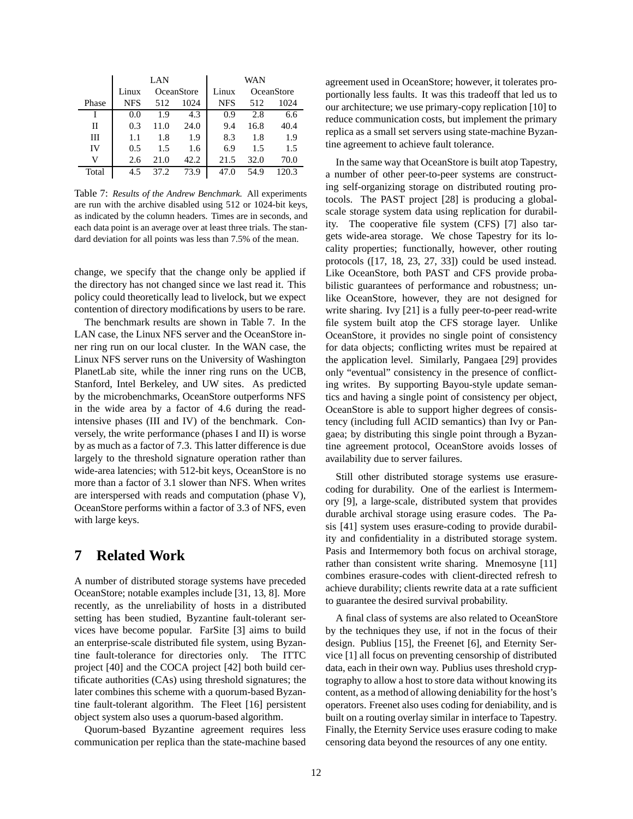|       | LAN   |            |      |            | WAN  |                   |
|-------|-------|------------|------|------------|------|-------------------|
|       | Linux | OceanStore |      | Linux      |      | <b>OceanStore</b> |
| Phase | NFS   | 512        | 1024 | <b>NFS</b> | 512  | 1024              |
|       | 0.0   | 1.9        | 4.3  | 0.9        | 2.8  | 6.6               |
| Н     | 0.3   | 11.0       | 24.0 | 9.4        | 16.8 | 40.4              |
| Ш     | 1.1   | 1.8        | 1.9  | 8.3        | 1.8  | 1.9               |
| IV    | 0.5   | 1.5        | 1.6  | 6.9        | 1.5  | 1.5               |
| v     | 2.6   | 21.0       | 42.2 | 21.5       | 32.0 | 70.0              |
| Total | 4.5   | 37 Z       | 73.9 |            | 54.9 |                   |

Table 7: *Results of the Andrew Benchmark.* All experiments are run with the archive disabled using 512 or 1024-bit keys, as indicated by the column headers. Times are in seconds, and each data point is an average over at least three trials. The standard deviation for all points was less than 7.5% of the mean.

change, we specify that the change only be applied if the directory has not changed since we last read it. This policy could theoretically lead to livelock, but we expect contention of directory modifications by users to be rare.

The benchmark results are shown in Table 7. In the LAN case, the Linux NFS server and the OceanStore inner ring run on our local cluster. In the WAN case, the Linux NFS server runs on the University of Washington PlanetLab site, while the inner ring runs on the UCB, Stanford, Intel Berkeley, and UW sites. As predicted by the microbenchmarks, OceanStore outperforms NFS in the wide area by a factor of 4.6 during the readintensive phases (III and IV) of the benchmark. Conversely, the write performance (phases I and II) is worse by as much as a factor of 7.3. This latter difference is due largely to the threshold signature operation rather than wide-area latencies; with 512-bit keys, OceanStore is no more than a factor of 3.1 slower than NFS. When writes are interspersed with reads and computation (phase V), OceanStore performs within a factor of 3.3 of NFS, even with large keys.

# **7 Related Work**

A number of distributed storage systems have preceded OceanStore; notable examples include [31, 13, 8]. More recently, as the unreliability of hosts in a distributed setting has been studied, Byzantine fault-tolerant services have become popular. FarSite [3] aims to build an enterprise-scale distributed file system, using Byzantine fault-tolerance for directories only. The ITTC project [40] and the COCA project [42] both build certificate authorities (CAs) using threshold signatures; the later combines this scheme with a quorum-based Byzantine fault-tolerant algorithm. The Fleet [16] persistent object system also uses a quorum-based algorithm.

Quorum-based Byzantine agreement requires less communication per replica than the state-machine based agreement used in OceanStore; however, it tolerates proportionally less faults. It was this tradeoff that led us to our architecture; we use primary-copy replication [10] to reduce communication costs, but implement the primary replica as a small set servers using state-machine Byzantine agreement to achieve fault tolerance.

In the same way that OceanStore is built atop Tapestry, a number of other peer-to-peer systems are constructing self-organizing storage on distributed routing protocols. The PAST project [28] is producing a globalscale storage system data using replication for durability. The cooperative file system (CFS) [7] also targets wide-area storage. We chose Tapestry for its locality properties; functionally, however, other routing protocols ([17, 18, 23, 27, 33]) could be used instead. Like OceanStore, both PAST and CFS provide probabilistic guarantees of performance and robustness; unlike OceanStore, however, they are not designed for write sharing. Ivy [21] is a fully peer-to-peer read-write file system built atop the CFS storage layer. Unlike OceanStore, it provides no single point of consistency for data objects; conflicting writes must be repaired at the application level. Similarly, Pangaea [29] provides only "eventual" consistency in the presence of conflicting writes. By supporting Bayou-style update semantics and having a single point of consistency per object, OceanStore is able to support higher degrees of consistency (including full ACID semantics) than Ivy or Pangaea; by distributing this single point through a Byzantine agreement protocol, OceanStore avoids losses of availability due to server failures.

Still other distributed storage systems use erasurecoding for durability. One of the earliest is Intermemory [9], a large-scale, distributed system that provides durable archival storage using erasure codes. The Pasis [41] system uses erasure-coding to provide durability and confidentiality in a distributed storage system. Pasis and Intermemory both focus on archival storage, rather than consistent write sharing. Mnemosyne [11] combines erasure-codes with client-directed refresh to achieve durability; clients rewrite data at a rate sufficient to guarantee the desired survival probability.

A final class of systems are also related to OceanStore by the techniques they use, if not in the focus of their design. Publius [15], the Freenet [6], and Eternity Service [1] all focus on preventing censorship of distributed data, each in their own way. Publius uses threshold cryptography to allow a host to store data without knowing its content, as a method of allowing deniability for the host's operators. Freenet also uses coding for deniability, and is built on a routing overlay similar in interface to Tapestry. Finally, the Eternity Service uses erasure coding to make censoring data beyond the resources of any one entity.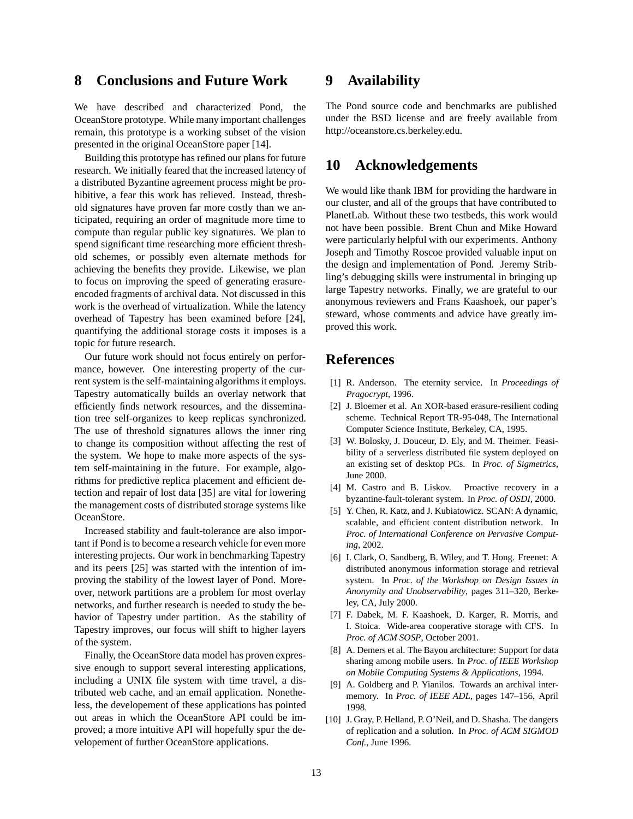# **8 Conclusions and Future Work**

We have described and characterized Pond, the OceanStore prototype. While many important challenges remain, this prototype is a working subset of the vision presented in the original OceanStore paper [14].

Building this prototype has refined our plans for future research. We initially feared that the increased latency of a distributed Byzantine agreement process might be prohibitive, a fear this work has relieved. Instead, threshold signatures have proven far more costly than we anticipated, requiring an order of magnitude more time to compute than regular public key signatures. We plan to spend significant time researching more efficient threshold schemes, or possibly even alternate methods for achieving the benefits they provide. Likewise, we plan to focus on improving the speed of generating erasureencoded fragments of archival data. Not discussed in this work is the overhead of virtualization. While the latency overhead of Tapestry has been examined before [24], quantifying the additional storage costs it imposes is a topic for future research.

Our future work should not focus entirely on performance, however. One interesting property of the current system is the self-maintaining algorithms it employs. Tapestry automatically builds an overlay network that efficiently finds network resources, and the dissemination tree self-organizes to keep replicas synchronized. The use of threshold signatures allows the inner ring to change its composition without affecting the rest of the system. We hope to make more aspects of the system self-maintaining in the future. For example, algorithms for predictive replica placement and efficient detection and repair of lost data [35] are vital for lowering the management costs of distributed storage systems like OceanStore.

Increased stability and fault-tolerance are also important if Pond is to become a research vehicle for even more interesting projects. Our work in benchmarking Tapestry and its peers [25] was started with the intention of improving the stability of the lowest layer of Pond. Moreover, network partitions are a problem for most overlay networks, and further research is needed to study the behavior of Tapestry under partition. As the stability of Tapestry improves, our focus will shift to higher layers of the system.

Finally, the OceanStore data model has proven expressive enough to support several interesting applications, including a UNIX file system with time travel, a distributed web cache, and an email application. Nonetheless, the developement of these applications has pointed out areas in which the OceanStore API could be improved; a more intuitive API will hopefully spur the developement of further OceanStore applications.

## **9 Availability**

The Pond source code and benchmarks are published under the BSD license and are freely available from http://oceanstore.cs.berkeley.edu.

### **10 Acknowledgements**

We would like thank IBM for providing the hardware in our cluster, and all of the groups that have contributed to PlanetLab. Without these two testbeds, this work would not have been possible. Brent Chun and Mike Howard were particularly helpful with our experiments. Anthony Joseph and Timothy Roscoe provided valuable input on the design and implementation of Pond. Jeremy Stribling's debugging skills were instrumental in bringing up large Tapestry networks. Finally, we are grateful to our anonymous reviewers and Frans Kaashoek, our paper's steward, whose comments and advice have greatly improved this work.

## **References**

- [1] R. Anderson. The eternity service. In *Proceedings of Pragocrypt*, 1996.
- [2] J. Bloemer et al. An XOR-based erasure-resilient coding scheme. Technical Report TR-95-048, The International Computer Science Institute, Berkeley, CA, 1995.
- [3] W. Bolosky, J. Douceur, D. Ely, and M. Theimer. Feasibility of a serverless distributed file system deployed on an existing set of desktop PCs. In *Proc. of Sigmetrics*, June 2000.
- [4] M. Castro and B. Liskov. Proactive recovery in a byzantine-fault-tolerant system. In *Proc. of OSDI*, 2000.
- [5] Y. Chen, R. Katz, and J. Kubiatowicz. SCAN: A dynamic, scalable, and efficient content distribution network. In *Proc. of International Conference on Pervasive Computing*, 2002.
- [6] I. Clark, O. Sandberg, B. Wiley, and T. Hong. Freenet: A distributed anonymous information storage and retrieval system. In *Proc. of the Workshop on Design Issues in Anonymity and Unobservability*, pages 311–320, Berkeley, CA, July 2000.
- [7] F. Dabek, M. F. Kaashoek, D. Karger, R. Morris, and I. Stoica. Wide-area cooperative storage with CFS. In *Proc. of ACM SOSP*, October 2001.
- [8] A. Demers et al. The Bayou architecture: Support for data sharing among mobile users. In *Proc. of IEEE Workshop on Mobile Computing Systems & Applications*, 1994.
- [9] A. Goldberg and P. Yianilos. Towards an archival intermemory. In *Proc. of IEEE ADL*, pages 147–156, April 1998.
- [10] J. Gray, P. Helland, P. O'Neil, and D. Shasha. The dangers of replication and a solution. In *Proc. of ACM SIGMOD Conf.*, June 1996.